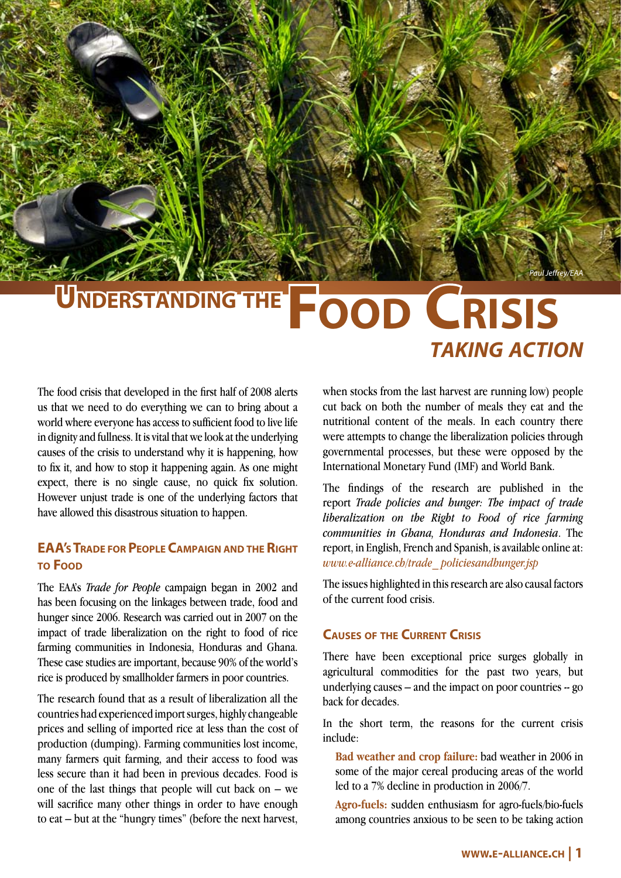*Paul Jeffrey/EAA*

# **FOOD CRISIS** *taking action*

The food crisis that developed in the first half of 2008 alerts us that we need to do everything we can to bring about a world where everyone has access to sufficient food to live life in dignity and fullness. It is vital that we look at the underlying causes of the crisis to understand why it is happening, how to fix it, and how to stop it happening again. As one might expect, there is no single cause, no quick fix solution. However unjust trade is one of the underlying factors that have allowed this disastrous situation to happen.

## **EAA's TRADE FOR PEOPLE CAMPAIGN AND THE RIGHT to Food**

The EAA's *Trade for People* campaign began in 2002 and has been focusing on the linkages between trade, food and hunger since 2006. Research was carried out in 2007 on the impact of trade liberalization on the right to food of rice farming communities in Indonesia, Honduras and Ghana. These case studies are important, because 90% of the world's rice is produced by smallholder farmers in poor countries.

The research found that as a result of liberalization all the countries had experienced import surges, highly changeable prices and selling of imported rice at less than the cost of production (dumping). Farming communities lost income, many farmers quit farming, and their access to food was less secure than it had been in previous decades. Food is one of the last things that people will cut back on – we will sacrifice many other things in order to have enough to eat – but at the "hungry times" (before the next harvest,

when stocks from the last harvest are running low) people cut back on both the number of meals they eat and the nutritional content of the meals. In each country there were attempts to change the liberalization policies through governmental processes, but these were opposed by the International Monetary Fund (IMF) and World Bank.

The findings of the research are published in the report *Trade policies and hunger: The impact of trade liberalization on the Right to Food of rice farming communities in Ghana, Honduras and Indonesia*. The report, in English, French and Spanish, is available online at: *www.e-alliance.ch/trade\_ policiesandhunger.jsp*

The issues highlighted in this research are also causal factors of the current food crisis.

## **Causes of the Current Crisis**

There have been exceptional price surges globally in agricultural commodities for the past two years, but underlying causes  $-$  and the impact on poor countries  $-$  go back for decades.

In the short term, the reasons for the current crisis include:

**Bad weather and crop failure:** bad weather in 2006 in some of the major cereal producing areas of the world led to a 7% decline in production in 2006/7.

**Agro-fuels:** sudden enthusiasm for agro-fuels/bio-fuels among countries anxious to be seen to be taking action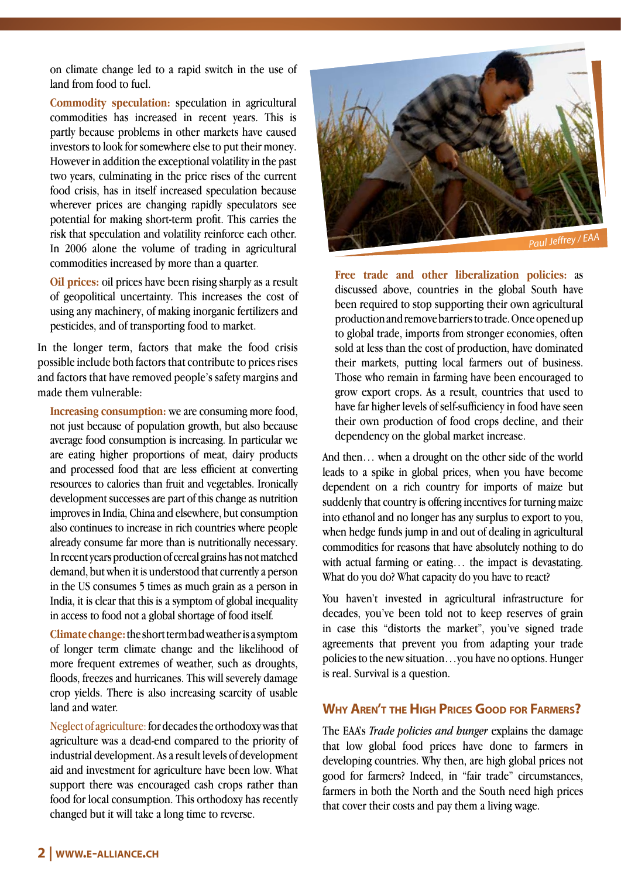on climate change led to a rapid switch in the use of land from food to fuel.

**Commodity speculation:** speculation in agricultural commodities has increased in recent years. This is partly because problems in other markets have caused investors to look for somewhere else to put their money. However in addition the exceptional volatility in the past two years, culminating in the price rises of the current food crisis, has in itself increased speculation because wherever prices are changing rapidly speculators see potential for making short-term profit. This carries the risk that speculation and volatility reinforce each other. In 2006 alone the volume of trading in agricultural commodities increased by more than a quarter.

**Oil prices:** oil prices have been rising sharply as a result of geopolitical uncertainty. This increases the cost of using any machinery, of making inorganic fertilizers and pesticides, and of transporting food to market.

In the longer term, factors that make the food crisis possible include both factors that contribute to prices rises and factors that have removed people's safety margins and made them vulnerable:

**Increasing consumption:** we are consuming more food, not just because of population growth, but also because average food consumption is increasing. In particular we are eating higher proportions of meat, dairy products and processed food that are less efficient at converting resources to calories than fruit and vegetables. Ironically development successes are part of this change as nutrition improves in India, China and elsewhere, but consumption also continues to increase in rich countries where people already consume far more than is nutritionally necessary. In recent years production of cereal grains has not matched demand, but when it is understood that currently a person in the US consumes 5 times as much grain as a person in India, it is clear that this is a symptom of global inequality in access to food not a global shortage of food itself.

**Climate change:** the short term bad weather is a symptom of longer term climate change and the likelihood of more frequent extremes of weather, such as droughts, floods, freezes and hurricanes. This will severely damage crop yields. There is also increasing scarcity of usable land and water.

Neglect of agriculture: for decades the orthodoxy was that agriculture was a dead-end compared to the priority of industrial development. As a result levels of development aid and investment for agriculture have been low. What support there was encouraged cash crops rather than food for local consumption. This orthodoxy has recently changed but it will take a long time to reverse.



**Free trade and other liberalization policies:** as discussed above, countries in the global South have been required to stop supporting their own agricultural production and remove barriers to trade. Once opened up to global trade, imports from stronger economies, often sold at less than the cost of production, have dominated their markets, putting local farmers out of business. Those who remain in farming have been encouraged to grow export crops. As a result, countries that used to have far higher levels of self-sufficiency in food have seen their own production of food crops decline, and their dependency on the global market increase.

And then… when a drought on the other side of the world leads to a spike in global prices, when you have become dependent on a rich country for imports of maize but suddenly that country is offering incentives for turning maize into ethanol and no longer has any surplus to export to you, when hedge funds jump in and out of dealing in agricultural commodities for reasons that have absolutely nothing to do with actual farming or eating… the impact is devastating. What do you do? What capacity do you have to react?

You haven't invested in agricultural infrastructure for decades, you've been told not to keep reserves of grain in case this "distorts the market", you've signed trade agreements that prevent you from adapting your trade policies to the new situation…you have no options. Hunger is real. Survival is a question.

## **Why Aren't the High Prices Good for Farmers?**

The EAA's *Trade policies and hunger* explains the damage that low global food prices have done to farmers in developing countries. Why then, are high global prices not good for farmers? Indeed, in "fair trade" circumstances, farmers in both the North and the South need high prices that cover their costs and pay them a living wage.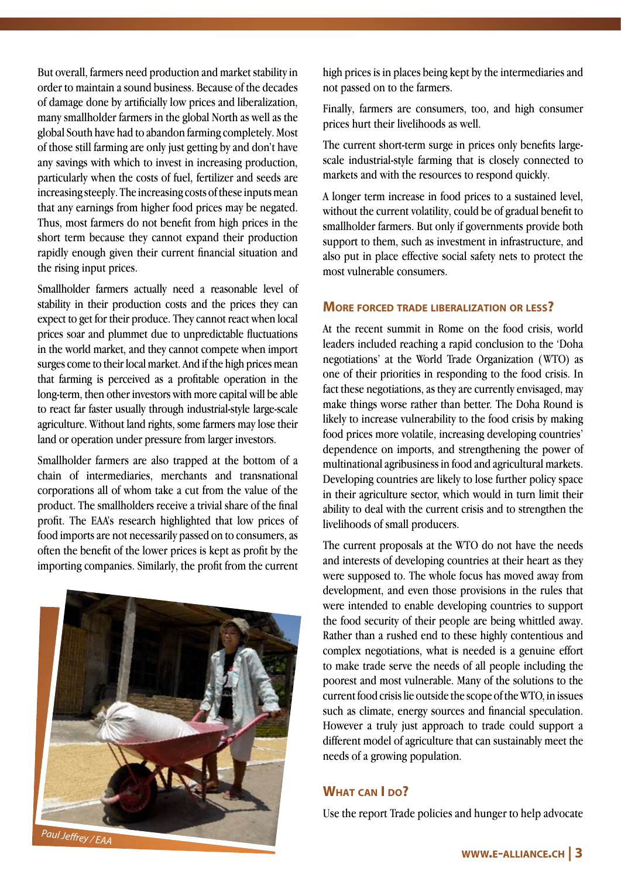But overall, farmers need production and market stability in order to maintain a sound business. Because of the decades of damage done by artificially low prices and liberalization, many smallholder farmers in the global North as well as the global South have had to abandon farming completely. Most of those still farming are only just getting by and don't have any savings with which to invest in increasing production, particularly when the costs of fuel, fertilizer and seeds are increasing steeply. The increasing costs of these inputs mean that any earnings from higher food prices may be negated. Thus, most farmers do not benefit from high prices in the short term because they cannot expand their production rapidly enough given their current financial situation and the rising input prices.

Smallholder farmers actually need a reasonable level of stability in their production costs and the prices they can expect to get for their produce. They cannot react when local prices soar and plummet due to unpredictable fluctuations in the world market, and they cannot compete when import surges come to their local market. And if the high prices mean that farming is perceived as a profitable operation in the long-term, then other investors with more capital will be able to react far faster usually through industrial-style large-scale agriculture. Without land rights, some farmers may lose their land or operation under pressure from larger investors.

Smallholder farmers are also trapped at the bottom of a chain of intermediaries, merchants and transnational corporations all of whom take a cut from the value of the product. The smallholders receive a trivial share of the final profit. The EAA's research highlighted that low prices of food imports are not necessarily passed on to consumers, as often the benefit of the lower prices is kept as profit by the importing companies. Similarly, the profit from the current



high prices is in places being kept by the intermediaries and not passed on to the farmers.

Finally, farmers are consumers, too, and high consumer prices hurt their livelihoods as well.

The current short-term surge in prices only benefits largescale industrial-style farming that is closely connected to markets and with the resources to respond quickly.

A longer term increase in food prices to a sustained level, without the current volatility, could be of gradual benefit to smallholder farmers. But only if governments provide both support to them, such as investment in infrastructure, and also put in place effective social safety nets to protect the most vulnerable consumers.

#### **More forced trade liberalization or less?**

At the recent summit in Rome on the food crisis, world leaders included reaching a rapid conclusion to the 'Doha negotiations' at the World Trade Organization (WTO) as one of their priorities in responding to the food crisis. In fact these negotiations, as they are currently envisaged, may make things worse rather than better. The Doha Round is likely to increase vulnerability to the food crisis by making food prices more volatile, increasing developing countries' dependence on imports, and strengthening the power of multinational agribusiness in food and agricultural markets. Developing countries are likely to lose further policy space in their agriculture sector, which would in turn limit their ability to deal with the current crisis and to strengthen the livelihoods of small producers.

The current proposals at the WTO do not have the needs and interests of developing countries at their heart as they were supposed to. The whole focus has moved away from development, and even those provisions in the rules that were intended to enable developing countries to support the food security of their people are being whittled away. Rather than a rushed end to these highly contentious and complex negotiations, what is needed is a genuine effort to make trade serve the needs of all people including the poorest and most vulnerable. Many of the solutions to the current food crisis lie outside the scope of the WTO, in issues such as climate, energy sources and financial speculation. However a truly just approach to trade could support a different model of agriculture that can sustainably meet the needs of a growing population.

#### **What can I do?**

Use the report Trade policies and hunger to help advocate